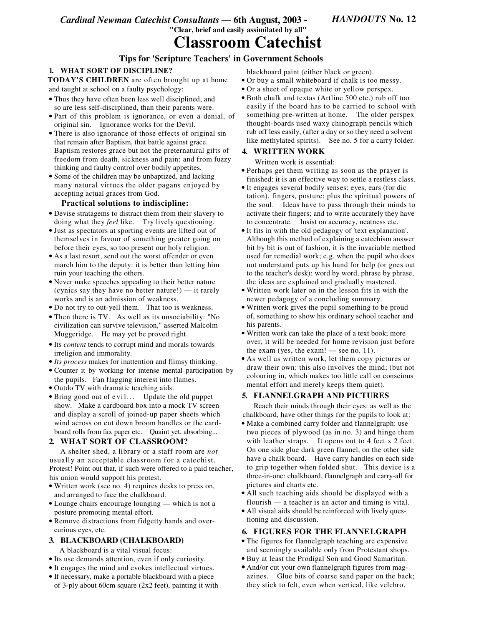*Cardinal Newman Catechist Consultants —* **6th August, 2003 - "Clear, brief and easily assimilated by all"**

*HANDOUTS* **No. 12**

# **Classroom Catechist**

## **Tips for 'Scripture Teachers' in Government Schools**

## **1. WHAT SORT OF DISCIPLINE?**

**TODAY'S CHILDREN** are often brought up at home and taught at school on a faulty psychology:

- Thus they have often been less well disciplined, and so are less self-disciplined, than their parents were.
- Part of this problem is ignorance, or even a denial, of original sin. Ignorance works for the Devil.
- There is also ignorance of those effects of original sin that remain after Baptism, that battle against grace. Baptism restores grace but not the preternatural gifts of freedom from death, sickness and pain; and from fuzzy thinking and faulty control over bodily appetites.
- Some of the children may be unbaptized, and lacking many natural virtues the older pagans enjoyed by accepting actual graces from God.

#### **Practical solutions to indiscipline:**

- Devise stratagems to distract them from their slavery to doing what they *feel* like. Try lively questioning.
- Just as spectators at sporting events are lifted out of themselves in favour of something greater going on before their eyes, so too present our holy religion.
- As a last resort, send out the worst offender or even march him to the deputy: it is better than letting him ruin your teaching the others.
- Never make speeches appealing to their better nature (cynics say they have no better nature!) — it rarely works and is an admission of weakness.
- Do not try to out-yell them. That too is weakness.
- Then there is TV. As well as its unsociability: "No civilization can survive television," asserted Malcolm Muggeridge. He may yet be proved right.
- Its *content* tends to corrupt mind and morals towards irreligion and immorality.
- *Its process* makes for inattention and flimsy thinking.
- Counter it by working for intense mental participation by the pupils. Fan flagging interest into flames.
- Outdo TV with dramatic teaching aids.
- Bring good out of e vil. .. Update the old puppet show. Make a cardboard box into a mock TV screen and display a scroll of joined-up paper sheets which wind across on cut down broom handles or the cardboard rolls from fax paper etc. Quaint yet, absorbing...

## **2. WHAT SORT OF CLASSROOM?**

A shelter shed, a library or a staff room are *not* usually an acceptable classroom for a catechist. Protest! Point out that, if such were offered to a paid teacher, his union would support his protest.

- Written work (see no. 4) requires desks to press on, and arranged to face the chalkboard.
- Lounge chairs encourage lounging which is not a posture promoting mental effort.
- Remove distractions from fidgetty hands and overcurious eyes, etc.

## **3. BLACKBOARD (CHALKBOARD)**

A blackboard is a vital visual focus:

- Its use demands attention, even if only curiosity.
- It engages the mind and evokes intellectual virtues.
- If necessary, make a portable blackboard with a piece of 3-ply about 60cm square (2x2 feet), painting it with

blackboard paint (either black or green).

- Or buy a small whiteboard if chalk is too messy.
- Or a sheet of opaque white or yellow perspex.
- Both chalk and textas (Artline 500 etc.) rub off too easily if the board has to be carried to school with something pre-written at home. The older perspex thought-boards used waxy chinograph pencils which rub off less easily, (after a day or so they need a solvent like methylated spirits). See no. 5 for a carry folder.

## **4. WRITTEN WORK**

Written work is essential:

- Perhaps get them writing as soon as the prayer is finished: it is an effective way to settle a restless class.
- It engages several bodily senses: eyes, ears (for dic tation), fingers, posture; plus the spiritual powers of the soul. Ideas have to pass through their minds to activate their fingers; and to write accurately they have to concentrate. Insist on accuracy, neatness etc.
- It fits in with the old pedagogy of 'text explanation'. Although this method of explaining a catechism answer bit by bit is out of fashion, it is the invariable method used for remedial work; e.g. when the pupil who does not understand puts up his hand for help (or goes out to the teacher's desk): word by word, phrase by phrase, the ideas are explained and gradually mastered.
- Written work later on in the lesson fits in with the newer pedagogy of a concluding summary.
- Written work gives the pupil something to be proud of, something to show his ordinary school teacher and his parents.
- Written work can take the place of a text book; more over, it will be needed for home revision just before the exam (yes, the exam! — see no. 11).
- As well as written work, let them copy pictures or draw their own: this also involves the mind; (but not colouring in, which makes too little call on conscious mental effort and merely keeps them quiet).

## **5. FLANNELGRAPH AND PICTURES**

Reach their minds through their eyes: as well as the chalkboard, have other things for the pupils to look at:

- Make a combined carry folder and flannelgraph: use two pieces of plywood (as in no. 3) and hinge them with leather straps. It opens out to 4 feet x 2 feet. On one side glue dark green flannel, on the other side have a chalk board. Have carry handles on each side to grip together when folded shut. This device is a three-in-one: chalkboard, flannelgraph and carry-all for pictures and charts etc.
- All such teaching aids should be displayed with a flourish — a teacher is an actor and timing is vital.
- All visual aids should be reinforced with lively questioning and discussion.

## **6. FIGURES FOR THE FLANNELGRAPH**

- The figures for flannelgraph teaching are expensive and seemingly available only from Protestant shops.
- Buy at least the Prodigal Son and Good Samaritan.
- And/or cut your own flannelgraph figures from magazines. Glue bits of coarse sand paper on the back; they stick to felt, even when vertical, like velchro.